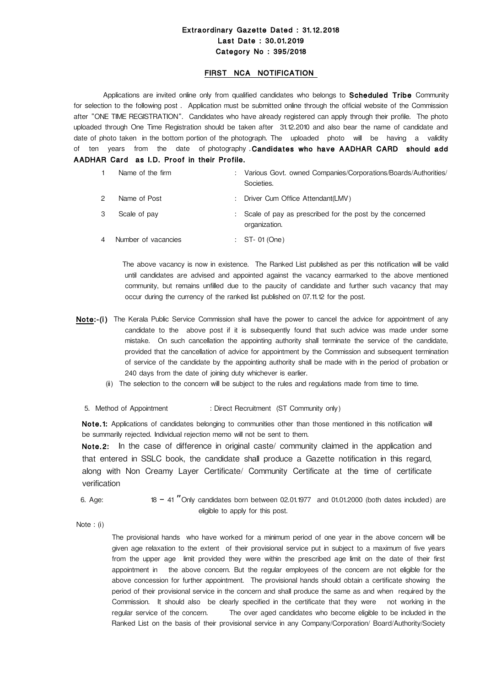# Extraordinary Gazette Dated : 31.12.2018 Last Date : 30.01.2019 Category No : 395/2018

### FIRST NCA NOTIFICATION

Applications are invited online only from qualified candidates who belongs to Scheduled Tribe Community for selection to the following post . Application must be submitted online through the official website of the Commission after "ONE TIME REGISTRATION". Candidates who have already registered can apply through their profile. The photo uploaded through One Time Registration should be taken after 31.12.2010 and also bear the name of candidate and date of photo taken in the bottom portion of the photograph. The uploaded photo will be having a validity of ten years from the date of photography .Candidates who have AADHAR CARD should add AADHAR Card as I.D. Proof in their Profile.

| Name of the firm    | Various Govt. owned Companies/Corporations/Boards/Authorities/<br>Societies. |
|---------------------|------------------------------------------------------------------------------|
| Name of Post        | Driver Cum Office Attendant(LMV)                                             |
| Scale of pay        | : Scale of pay as prescribed for the post by the concerned<br>organization.  |
| Number of vacancies | $:$ ST-01 (One)                                                              |

 The above vacancy is now in existence. The Ranked List published as per this notification will be valid until candidates are advised and appointed against the vacancy earmarked to the above mentioned community, but remains unfilled due to the paucity of candidate and further such vacancy that may occur during the currency of the ranked list published on 07.11.12 for the post.

- Note:-(i) The Kerala Public Service Commission shall have the power to cancel the advice for appointment of any candidate to the above post if it is subsequently found that such advice was made under some mistake. On such cancellation the appointing authority shall terminate the service of the candidate, provided that the cancellation of advice for appointment by the Commission and subsequent termination of service of the candidate by the appointing authority shall be made with in the period of probation or 240 days from the date of joining duty whichever is earlier.
	- (ii) The selection to the concern will be subject to the rules and regulations made from time to time.
	- 5. Method of Appointment : Direct Recruitment (ST Community only)

Note.1: Applications of candidates belonging to communities other than those mentioned in this notification will be summarily rejected. Individual rejection memo will not be sent to them.

Note.2: In the case of difference in original caste/ community claimed in the application and that entered in SSLC book, the candidate shall produce a Gazette notification in this regard, along with Non Creamy Layer Certificate/ Community Certificate at the time of certificate verification

6. Age: 18 - 41  $"$  Only candidates born between 02.01.1977 and 01.01.2000 (both dates included) are eligible to apply for this post.

Note : (i)

The provisional hands who have worked for a minimum period of one year in the above concern will be given age relaxation to the extent of their provisional service put in subject to a maximum of five years from the upper age limit provided they were within the prescribed age limit on the date of their first appointment in the above concern. But the regular employees of the concern are not eligible for the above concession for further appointment. The provisional hands should obtain a certificate showing the period of their provisional service in the concern and shall produce the same as and when required by the Commission. It should also be clearly specified in the certificate that they were not working in the regular service of the concern. The over aged candidates who become eligible to be included in the Ranked List on the basis of their provisional service in any Company/Corporation/ Board/Authority/Society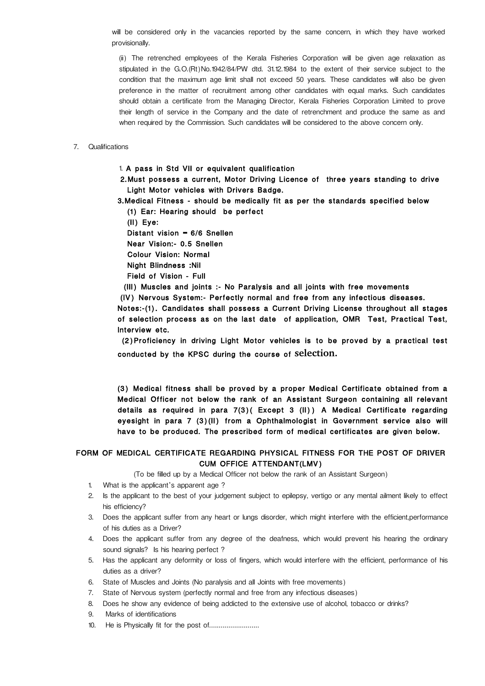will be considered only in the vacancies reported by the same concern, in which they have worked provisionally.

(ii) The retrenched employees of the Kerala Fisheries Corporation will be given age relaxation as stipulated in the G.O.(Rt)No.1942/84/PW dtd. 31.12.1984 to the extent of their service subject to the condition that the maximum age limit shall not exceed 50 years. These candidates will also be given preference in the matter of recruitment among other candidates with equal marks. Such candidates should obtain a certificate from the Managing Director, Kerala Fisheries Corporation Limited to prove their length of service in the Company and the date of retrenchment and produce the same as and when required by the Commission. Such candidates will be considered to the above concern only.

#### 7. Qualifications

1. A pass in Std VII or equivalent qualification

 2.Must possess a current, Motor Driving Licence of three years standing to drive Light Motor vehicles with Drivers Badge.

3.Medical Fitness - should be medically fit as per the standards specified below (1) Ear: Hearing should be perfect

(II) Eye:

Distant vision = 6/6 Snellen

Near Vision:- 0.5 Snellen

Colour Vision: Normal

Night Blindness :Nil

Field of Vision - Full

(III) Muscles and joints :- No Paralysis and all joints with free movements

(IV) Nervous System:- Perfectly normal and free from any infectious diseases.

Notes:-(1). Candidates shall possess a Current Driving License throughout all stages of selection process as on the last date of application, OMR Test, Practical Test, Interview etc.

 (2)Proficiency in driving Light Motor vehicles is to be proved by a practical test conducted by the KPSC during the course of **selection.**

(3) Medical fitness shall be proved by a proper Medical Certificate obtained from a Medical Officer not below the rank of an Assistant Surgeon containing all relevant details as required in para 7(3)( Except 3 (II)) A Medical Certificate regarding eyesight in para 7 (3)(II) from a Ophthalmologist in Government service also will have to be produced. The prescribed form of medical certificates are given below.

### FORM OF MEDICAL CERTIFICATE REGARDING PHYSICAL FITNESS FOR THE POST OF DRIVER CUM OFFICE ATTENDANT(LMV)

(To be filled up by a Medical Officer not below the rank of an Assistant Surgeon)

- 1. What is the applicant's apparent age ?
- 2. Is the applicant to the best of your judgement subject to epilepsy, vertigo or any mental ailment likely to effect his efficiency?
- 3. Does the applicant suffer from any heart or lungs disorder, which might interfere with the efficient,performance of his duties as a Driver?
- 4. Does the applicant suffer from any degree of the deafness, which would prevent his hearing the ordinary sound signals? Is his hearing perfect ?
- 5. Has the applicant any deformity or loss of fingers, which would interfere with the efficient, performance of his duties as a driver?
- 6. State of Muscles and Joints (No paralysis and all Joints with free movements)
- 7. State of Nervous system (perfectly normal and free from any infectious diseases)
- 8. Does he show any evidence of being addicted to the extensive use of alcohol, tobacco or drinks?
- 9. Marks of identifications
- 10. He is Physically fit for the post of..........................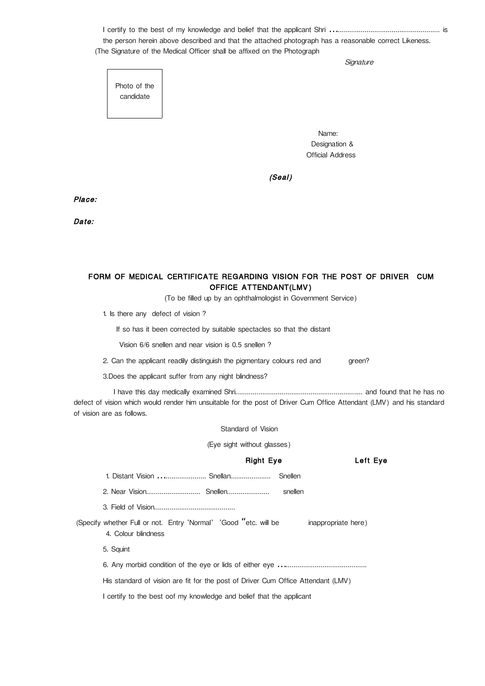I certify to the best of my knowledge and belief that the applicant Shri ..................................................... is … the person herein above described and that the attached photograph has a reasonable correct Likeness. (The Signature of the Medical Officer shall be affixed on the Photograph

**Signature** 

Photo of the candidate

Name: where the contract of the Name: Designation & Official Address

(Seal)

Place:

Date:

# FORM OF MEDICAL CERTIFICATE REGARDING VISION FOR THE POST OF DRIVER CUM OFFICE ATTENDANT(LMV)

(To be filled up by an ophthalmologist in Government Service)

1. Is there any defect of vision ?

If so has it been corrected by suitable spectacles so that the distant

Vision 6/6 snellen and near vision is 0.5 snellen ?

2. Can the applicant readily distinguish the pigmentary colours red and green?

3.Does the applicant suffer from any night blindness?

 I have this day medically examined Shri.................................................................. and found that he has no defect of vision which would render him unsuitable for the post of Driver Cum Office Attendant (LMV) and his standard of vision are as follows.

Standard of Vision

(Eye sight without glasses)

| <b>Right Eye</b>                                                                                               | Left Eye |  |  |  |  |  |
|----------------------------------------------------------------------------------------------------------------|----------|--|--|--|--|--|
| Snellen                                                                                                        |          |  |  |  |  |  |
| snellen                                                                                                        |          |  |  |  |  |  |
|                                                                                                                |          |  |  |  |  |  |
| (Specify whether Full or not. Entry 'Normal' 'Good "etc. will be<br>inappropriate here)<br>4. Colour blindness |          |  |  |  |  |  |
| 5. Squint                                                                                                      |          |  |  |  |  |  |
|                                                                                                                |          |  |  |  |  |  |
| His standard of vision are fit for the post of Driver Cum Office Attendant (LMV)                               |          |  |  |  |  |  |
| I certify to the best oof my knowledge and belief that the applicant                                           |          |  |  |  |  |  |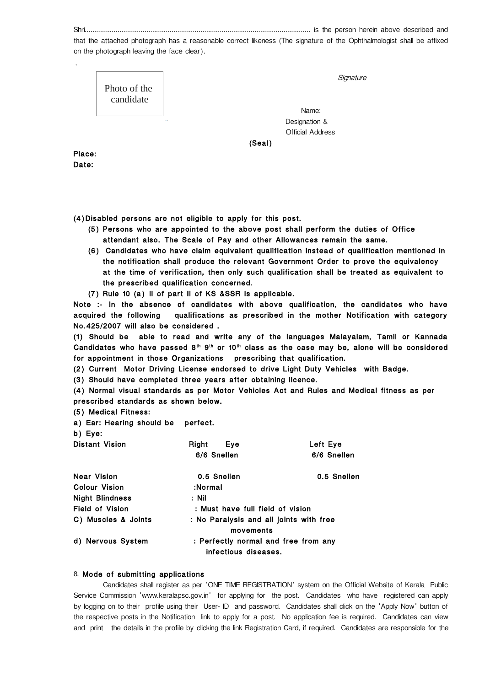Shri..................................................................................................................... is the person herein above described and

that the attached photograph has a reasonable correct likeness (The signature of the Ophthalmologist shall be affixed on the photograph leaving the face clear).

|        | Photo of the<br>candidate |                                 | Signature |
|--------|---------------------------|---------------------------------|-----------|
|        |                           |                                 | Name:     |
|        |                           | Designation &<br>$\blacksquare$ |           |
|        |                           | <b>Official Address</b>         |           |
|        |                           | (Seal)                          |           |
| Place: |                           |                                 |           |
| Date:  |                           |                                 |           |

(4)Disabled persons are not eligible to apply for this post.

- (5) Persons who are appointed to the above post shall perform the duties of Office attendant also. The Scale of Pay and other Allowances remain the same.
- (6) Candidates who have claim equivalent qualification instead of qualification mentioned in the notification shall produce the relevant Government Order to prove the equivalency at the time of verification, then only such qualification shall be treated as equivalent to the prescribed qualification concerned.
- (7) Rule 10 (a) ii of part II of KS &SSR is applicable.

Note :- In the absence of candidates with above qualification, the candidates who have acquired the following qualifications as prescribed in the mother Notification with category No.425/2007 will also be considered .

(1) Should be able to read and write any of the languages Malayalam, Tamil or Kannada Candidates who have passed  $8<sup>th</sup>$  9<sup>th</sup> or 10<sup>th</sup> class as the case may be, alone will be considered for appointment in those Organizations prescribing that qualification.

(2) Current Motor Driving License endorsed to drive Light Duty Vehicles with Badge.

(3) Should have completed three years after obtaining licence.

(4) Normal visual standards as per Motor Vehicles Act and Rules and Medical fitness as per prescribed standards as shown below.

(5) Medical Fitness:

a) Ear: Hearing should be perfect.

b) Eye:

| <b>Distant Vision</b>  | Right<br>Eye<br>6/6 Snellen                                  | Left Eye<br>6/6 Snellen |  |  |  |
|------------------------|--------------------------------------------------------------|-------------------------|--|--|--|
| Near Vision            | 0.5 Snellen                                                  | 0.5 Snellen             |  |  |  |
| Colour Vision          | :Normal                                                      |                         |  |  |  |
| <b>Night Blindness</b> | : Nil                                                        |                         |  |  |  |
| Field of Vision        | : Must have full field of vision                             |                         |  |  |  |
| C) Muscles & Joints    | : No Paralysis and all joints with free<br>movements         |                         |  |  |  |
| d) Nervous System      | : Perfectly normal and free from any<br>infectious diseases. |                         |  |  |  |

#### 8. Mode of submitting applications

Candidates shall register as per 'ONE TIME REGISTRATION' system on the Official Website of Kerala Public Service Commission 'www.keralapsc.gov.in' for applying for the post. Candidates who have registered can apply by logging on to their profile using their User- ID and password. Candidates shall click on the 'Apply Now' button of the respective posts in the Notification link to apply for a post. No application fee is required. Candidates can view and print the details in the profile by clicking the link Registration Card, if required. Candidates are responsible for the